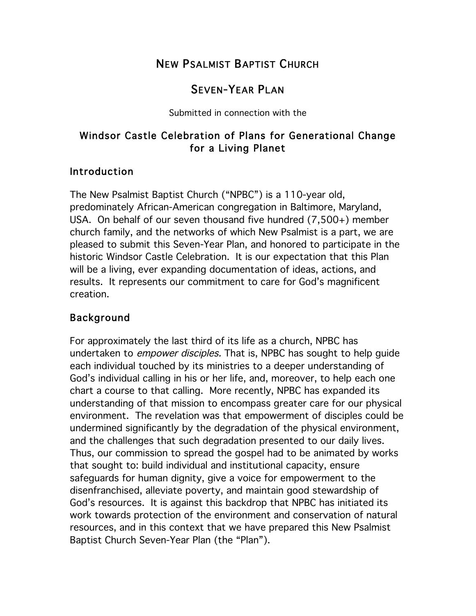# NEW PSALMIST BAPTIST CHURCH

# SEVEN-YEAR PLAN

Submitted in connection with the

## Windsor Castle Celebration of Plans for Generational Change for a Living Planet

#### Introduction

The New Psalmist Baptist Church ("NPBC") is a 110-year old, predominately African-American congregation in Baltimore, Maryland, USA. On behalf of our seven thousand five hundred (7,500+) member church family, and the networks of which New Psalmist is a part, we are pleased to submit this Seven-Year Plan, and honored to participate in the historic Windsor Castle Celebration. It is our expectation that this Plan will be a living, ever expanding documentation of ideas, actions, and results. It represents our commitment to care for God's magnificent creation.

## Background

For approximately the last third of its life as a church, NPBC has undertaken to *empower disciples*. That is, NPBC has sought to help guide each individual touched by its ministries to a deeper understanding of God's individual calling in his or her life, and, moreover, to help each one chart a course to that calling. More recently, NPBC has expanded its understanding of that mission to encompass greater care for our physical environment. The revelation was that empowerment of disciples could be undermined significantly by the degradation of the physical environment, and the challenges that such degradation presented to our daily lives. Thus, our commission to spread the gospel had to be animated by works that sought to: build individual and institutional capacity, ensure safeguards for human dignity, give a voice for empowerment to the disenfranchised, alleviate poverty, and maintain good stewardship of God's resources. It is against this backdrop that NPBC has initiated its work towards protection of the environment and conservation of natural resources, and in this context that we have prepared this New Psalmist Baptist Church Seven-Year Plan (the "Plan").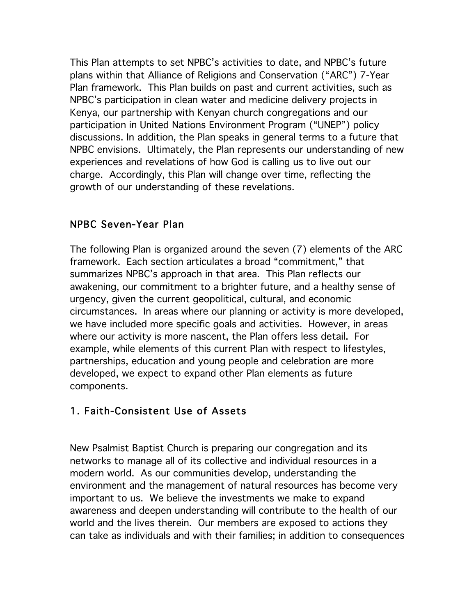This Plan attempts to set NPBC's activities to date, and NPBC's future plans within that Alliance of Religions and Conservation ("ARC") 7-Year Plan framework. This Plan builds on past and current activities, such as NPBC's participation in clean water and medicine delivery projects in Kenya, our partnership with Kenyan church congregations and our participation in United Nations Environment Program ("UNEP") policy discussions. In addition, the Plan speaks in general terms to a future that NPBC envisions. Ultimately, the Plan represents our understanding of new experiences and revelations of how God is calling us to live out our charge. Accordingly, this Plan will change over time, reflecting the growth of our understanding of these revelations.

## NPBC Seven-Year Plan

The following Plan is organized around the seven (7) elements of the ARC framework. Each section articulates a broad "commitment," that summarizes NPBC's approach in that area. This Plan reflects our awakening, our commitment to a brighter future, and a healthy sense of urgency, given the current geopolitical, cultural, and economic circumstances. In areas where our planning or activity is more developed, we have included more specific goals and activities. However, in areas where our activity is more nascent, the Plan offers less detail. For example, while elements of this current Plan with respect to lifestyles, partnerships, education and young people and celebration are more developed, we expect to expand other Plan elements as future components.

### 1. Faith-Consistent Use of Assets

New Psalmist Baptist Church is preparing our congregation and its networks to manage all of its collective and individual resources in a modern world. As our communities develop, understanding the environment and the management of natural resources has become very important to us. We believe the investments we make to expand awareness and deepen understanding will contribute to the health of our world and the lives therein. Our members are exposed to actions they can take as individuals and with their families; in addition to consequences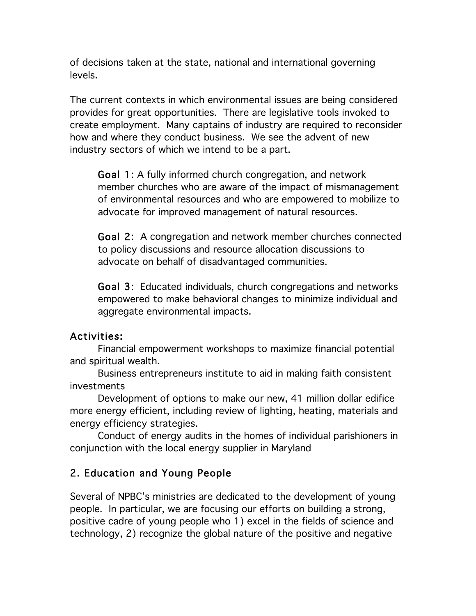of decisions taken at the state, national and international governing levels.

The current contexts in which environmental issues are being considered provides for great opportunities. There are legislative tools invoked to create employment. Many captains of industry are required to reconsider how and where they conduct business. We see the advent of new industry sectors of which we intend to be a part.

Goal 1: A fully informed church congregation, and network member churches who are aware of the impact of mismanagement of environmental resources and who are empowered to mobilize to advocate for improved management of natural resources.

Goal 2: A congregation and network member churches connected to policy discussions and resource allocation discussions to advocate on behalf of disadvantaged communities.

Goal 3: Educated individuals, church congregations and networks empowered to make behavioral changes to minimize individual and aggregate environmental impacts.

#### Activities:

 Financial empowerment workshops to maximize financial potential and spiritual wealth.

 Business entrepreneurs institute to aid in making faith consistent investments

Development of options to make our new, 41 million dollar edifice more energy efficient, including review of lighting, heating, materials and energy efficiency strategies.

Conduct of energy audits in the homes of individual parishioners in conjunction with the local energy supplier in Maryland

## 2. Education and Young People

Several of NPBC's ministries are dedicated to the development of young people. In particular, we are focusing our efforts on building a strong, positive cadre of young people who 1) excel in the fields of science and technology, 2) recognize the global nature of the positive and negative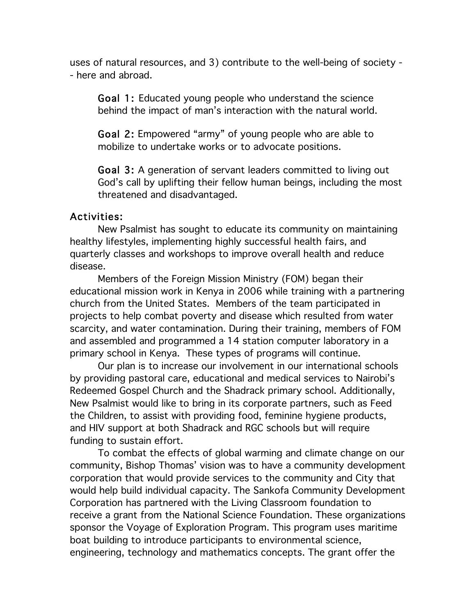uses of natural resources, and 3) contribute to the well-being of society - - here and abroad.

Goal 1: Educated young people who understand the science behind the impact of man's interaction with the natural world.

Goal 2: Empowered "army" of young people who are able to mobilize to undertake works or to advocate positions.

Goal 3: A generation of servant leaders committed to living out God's call by uplifting their fellow human beings, including the most threatened and disadvantaged.

#### Activities:

 New Psalmist has sought to educate its community on maintaining healthy lifestyles, implementing highly successful health fairs, and quarterly classes and workshops to improve overall health and reduce disease.

Members of the Foreign Mission Ministry (FOM) began their educational mission work in Kenya in 2006 while training with a partnering church from the United States. Members of the team participated in projects to help combat poverty and disease which resulted from water scarcity, and water contamination. During their training, members of FOM and assembled and programmed a 14 station computer laboratory in a primary school in Kenya. These types of programs will continue.

Our plan is to increase our involvement in our international schools by providing pastoral care, educational and medical services to Nairobi's Redeemed Gospel Church and the Shadrack primary school. Additionally, New Psalmist would like to bring in its corporate partners, such as Feed the Children, to assist with providing food, feminine hygiene products, and HIV support at both Shadrack and RGC schools but will require funding to sustain effort.

To combat the effects of global warming and climate change on our community, Bishop Thomas' vision was to have a community development corporation that would provide services to the community and City that would help build individual capacity. The Sankofa Community Development Corporation has partnered with the Living Classroom foundation to receive a grant from the National Science Foundation. These organizations sponsor the Voyage of Exploration Program. This program uses maritime boat building to introduce participants to environmental science, engineering, technology and mathematics concepts. The grant offer the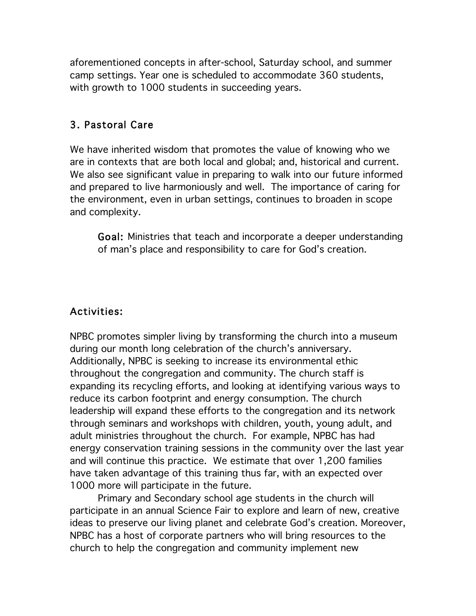aforementioned concepts in after-school, Saturday school, and summer camp settings. Year one is scheduled to accommodate 360 students, with growth to 1000 students in succeeding years.

#### 3. Pastoral Care

We have inherited wisdom that promotes the value of knowing who we are in contexts that are both local and global; and, historical and current. We also see significant value in preparing to walk into our future informed and prepared to live harmoniously and well. The importance of caring for the environment, even in urban settings, continues to broaden in scope and complexity.

Goal: Ministries that teach and incorporate a deeper understanding of man's place and responsibility to care for God's creation.

### Activities:

NPBC promotes simpler living by transforming the church into a museum during our month long celebration of the church's anniversary. Additionally, NPBC is seeking to increase its environmental ethic throughout the congregation and community. The church staff is expanding its recycling efforts, and looking at identifying various ways to reduce its carbon footprint and energy consumption. The church leadership will expand these efforts to the congregation and its network through seminars and workshops with children, youth, young adult, and adult ministries throughout the church. For example, NPBC has had energy conservation training sessions in the community over the last year and will continue this practice. We estimate that over 1,200 families have taken advantage of this training thus far, with an expected over 1000 more will participate in the future.

Primary and Secondary school age students in the church will participate in an annual Science Fair to explore and learn of new, creative ideas to preserve our living planet and celebrate God's creation. Moreover, NPBC has a host of corporate partners who will bring resources to the church to help the congregation and community implement new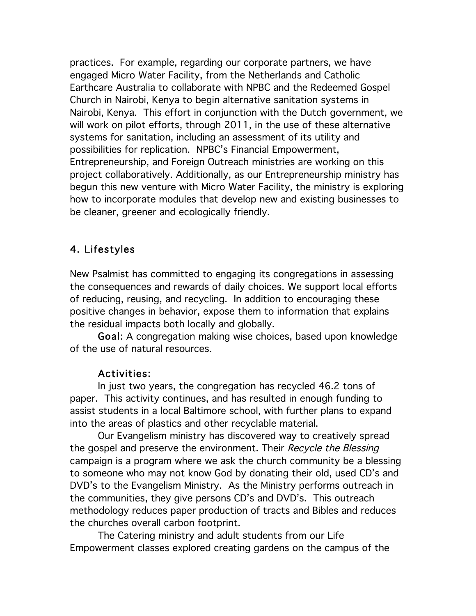practices. For example, regarding our corporate partners, we have engaged Micro Water Facility, from the Netherlands and Catholic Earthcare Australia to collaborate with NPBC and the Redeemed Gospel Church in Nairobi, Kenya to begin alternative sanitation systems in Nairobi, Kenya. This effort in conjunction with the Dutch government, we will work on pilot efforts, through 2011, in the use of these alternative systems for sanitation, including an assessment of its utility and possibilities for replication. NPBC's Financial Empowerment, Entrepreneurship, and Foreign Outreach ministries are working on this project collaboratively. Additionally, as our Entrepreneurship ministry has begun this new venture with Micro Water Facility, the ministry is exploring how to incorporate modules that develop new and existing businesses to be cleaner, greener and ecologically friendly.

#### 4. Lifestyles

New Psalmist has committed to engaging its congregations in assessing the consequences and rewards of daily choices. We support local efforts of reducing, reusing, and recycling. In addition to encouraging these positive changes in behavior, expose them to information that explains the residual impacts both locally and globally.

Goal: A congregation making wise choices, based upon knowledge of the use of natural resources.

#### Activities:

In just two years, the congregation has recycled 46.2 tons of paper. This activity continues, and has resulted in enough funding to assist students in a local Baltimore school, with further plans to expand into the areas of plastics and other recyclable material.

Our Evangelism ministry has discovered way to creatively spread the gospel and preserve the environment. Their Recycle the Blessing campaign is a program where we ask the church community be a blessing to someone who may not know God by donating their old, used CD's and DVD's to the Evangelism Ministry. As the Ministry performs outreach in the communities, they give persons CD's and DVD's. This outreach methodology reduces paper production of tracts and Bibles and reduces the churches overall carbon footprint.

The Catering ministry and adult students from our Life Empowerment classes explored creating gardens on the campus of the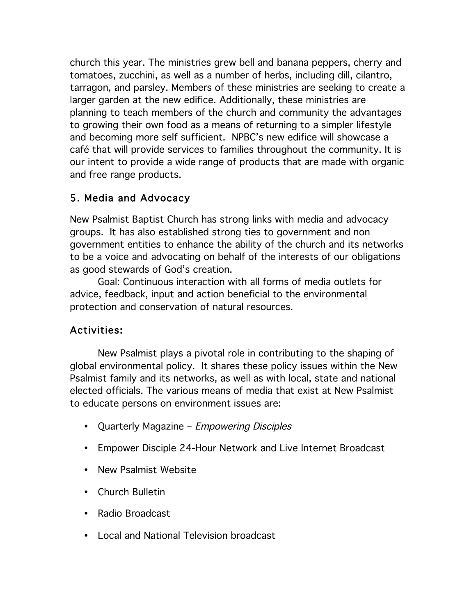church this year. The ministries grew bell and banana peppers, cherry and tomatoes, zucchini, as well as a number of herbs, including dill, cilantro, tarragon, and parsley. Members of these ministries are seeking to create a larger garden at the new edifice. Additionally, these ministries are planning to teach members of the church and community the advantages to growing their own food as a means of returning to a simpler lifestyle and becoming more self sufficient. NPBC's new edifice will showcase a café that will provide services to families throughout the community. It is our intent to provide a wide range of products that are made with organic and free range products.

## 5. Media and Advocacy

New Psalmist Baptist Church has strong links with media and advocacy groups. It has also established strong ties to government and non government entities to enhance the ability of the church and its networks to be a voice and advocating on behalf of the interests of our obligations as good stewards of God's creation.

Goal: Continuous interaction with all forms of media outlets for advice, feedback, input and action beneficial to the environmental protection and conservation of natural resources.

# Activities:

New Psalmist plays a pivotal role in contributing to the shaping of global environmental policy. It shares these policy issues within the New Psalmist family and its networks, as well as with local, state and national elected officials. The various means of media that exist at New Psalmist to educate persons on environment issues are:

- Quarterly Magazine Empowering Disciples
- Empower Disciple 24-Hour Network and Live Internet Broadcast
- New Psalmist Website
- Church Bulletin
- Radio Broadcast
- Local and National Television broadcast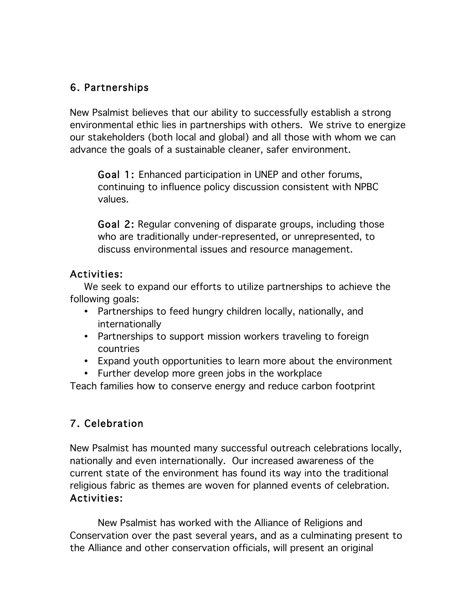## 6. Partnerships

New Psalmist believes that our ability to successfully establish a strong environmental ethic lies in partnerships with others. We strive to energize our stakeholders (both local and global) and all those with whom we can advance the goals of a sustainable cleaner, safer environment.

Goal 1: Enhanced participation in UNEP and other forums, continuing to influence policy discussion consistent with NPBC values.

Goal 2: Regular convening of disparate groups, including those who are traditionally under-represented, or unrepresented, to discuss environmental issues and resource management.

### Activities:

We seek to expand our efforts to utilize partnerships to achieve the following goals:

- Partnerships to feed hungry children locally, nationally, and internationally
- Partnerships to support mission workers traveling to foreign countries
- Expand youth opportunities to learn more about the environment
- Further develop more green jobs in the workplace

Teach families how to conserve energy and reduce carbon footprint

# 7. Celebration

New Psalmist has mounted many successful outreach celebrations locally, nationally and even internationally. Our increased awareness of the current state of the environment has found its way into the traditional religious fabric as themes are woven for planned events of celebration. Activities:

New Psalmist has worked with the Alliance of Religions and Conservation over the past several years, and as a culminating present to the Alliance and other conservation officials, will present an original